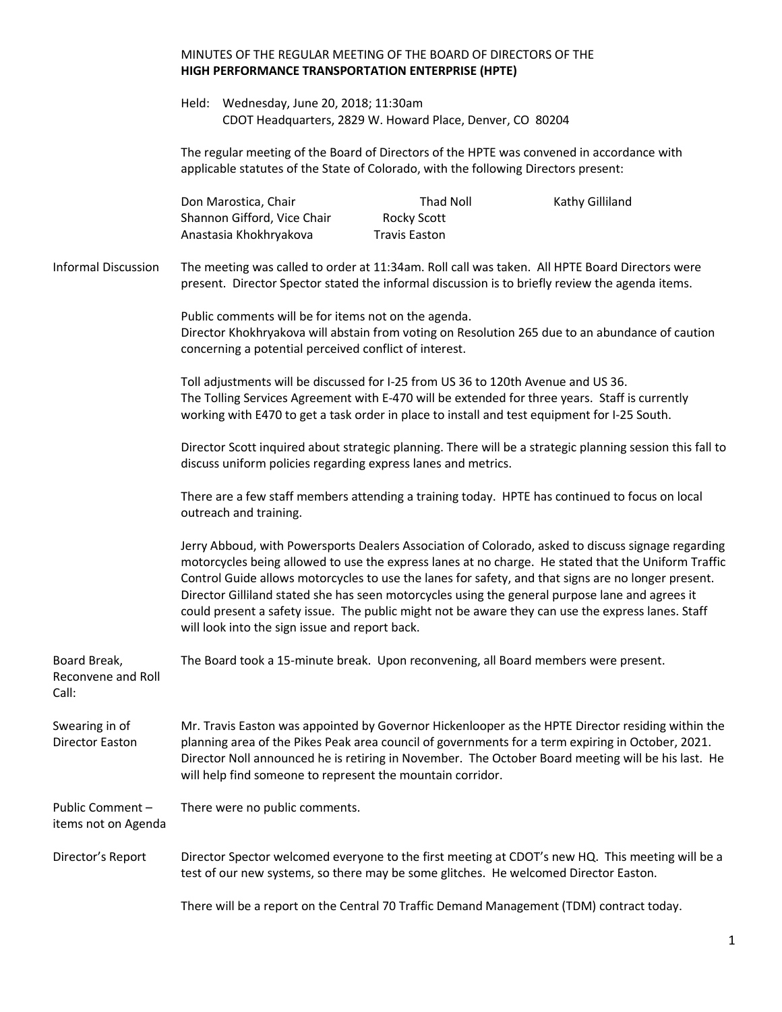## MINUTES OF THE REGULAR MEETING OF THE BOARD OF DIRECTORS OF THE **HIGH PERFORMANCE TRANSPORTATION ENTERPRISE (HPTE)** Held: Wednesday, June 20, 2018; 11:30am CDOT Headquarters, 2829 W. Howard Place, Denver, CO 80204 The regular meeting of the Board of Directors of the HPTE was convened in accordance with applicable statutes of the State of Colorado, with the following Directors present: Don Marostica, Chair **Thad Noll** Thad Noll Kathy Gilliland Shannon Gifford, Vice Chair Rocky Scott Anastasia Khokhryakova Travis Easton Informal Discussion The meeting was called to order at 11:34am. Roll call was taken. All HPTE Board Directors were present. Director Spector stated the informal discussion is to briefly review the agenda items. Public comments will be for items not on the agenda. Director Khokhryakova will abstain from voting on Resolution 265 due to an abundance of caution concerning a potential perceived conflict of interest. Toll adjustments will be discussed for I-25 from US 36 to 120th Avenue and US 36. The Tolling Services Agreement with E-470 will be extended for three years. Staff is currently working with E470 to get a task order in place to install and test equipment for I-25 South. Director Scott inquired about strategic planning. There will be a strategic planning session this fall to discuss uniform policies regarding express lanes and metrics. There are a few staff members attending a training today. HPTE has continued to focus on local outreach and training. Jerry Abboud, with Powersports Dealers Association of Colorado, asked to discuss signage regarding motorcycles being allowed to use the express lanes at no charge. He stated that the Uniform Traffic Control Guide allows motorcycles to use the lanes for safety, and that signs are no longer present. Director Gilliland stated she has seen motorcycles using the general purpose lane and agrees it could present a safety issue. The public might not be aware they can use the express lanes. Staff will look into the sign issue and report back. Board Break, Reconvene and Roll Call: The Board took a 15-minute break. Upon reconvening, all Board members were present. Swearing in of Director Easton Mr. Travis Easton was appointed by Governor Hickenlooper as the HPTE Director residing within the planning area of the Pikes Peak area council of governments for a term expiring in October, 2021. Director Noll announced he is retiring in November. The October Board meeting will be his last. He will help find someone to represent the mountain corridor. Public Comment – items not on Agenda There were no public comments. Director's Report Director Spector welcomed everyone to the first meeting at CDOT's new HQ. This meeting will be a test of our new systems, so there may be some glitches. He welcomed Director Easton. There will be a report on the Central 70 Traffic Demand Management (TDM) contract today.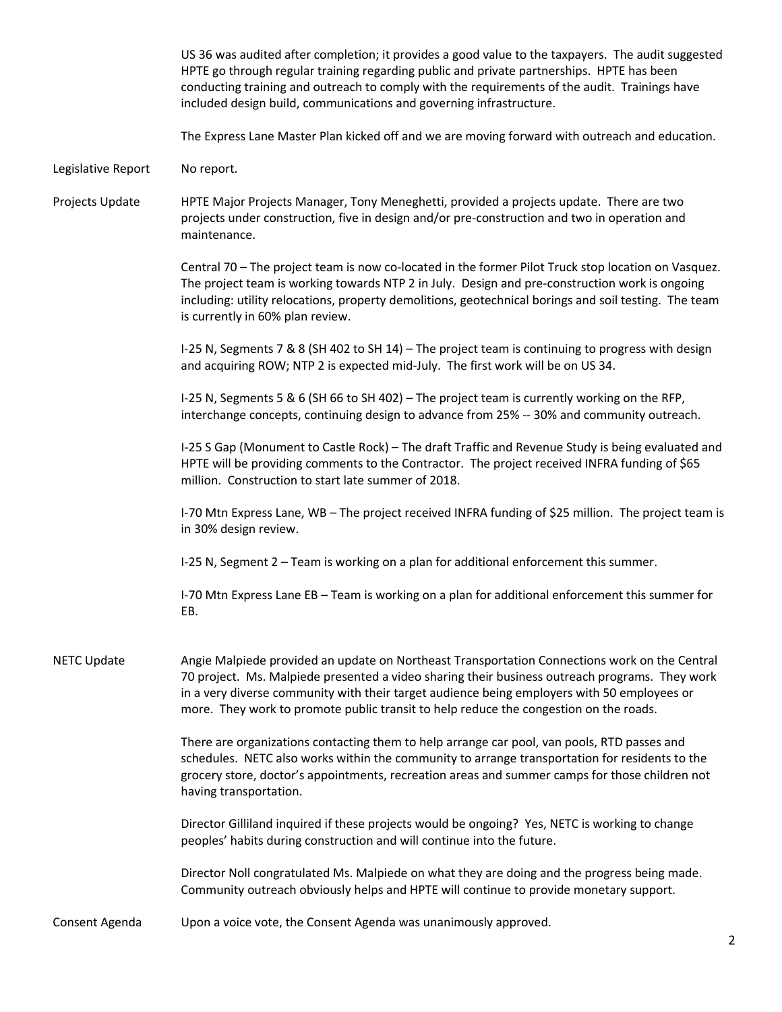|                    | US 36 was audited after completion; it provides a good value to the taxpayers. The audit suggested<br>HPTE go through regular training regarding public and private partnerships. HPTE has been<br>conducting training and outreach to comply with the requirements of the audit. Trainings have<br>included design build, communications and governing infrastructure.                 |
|--------------------|-----------------------------------------------------------------------------------------------------------------------------------------------------------------------------------------------------------------------------------------------------------------------------------------------------------------------------------------------------------------------------------------|
|                    | The Express Lane Master Plan kicked off and we are moving forward with outreach and education.                                                                                                                                                                                                                                                                                          |
| Legislative Report | No report.                                                                                                                                                                                                                                                                                                                                                                              |
| Projects Update    | HPTE Major Projects Manager, Tony Meneghetti, provided a projects update. There are two<br>projects under construction, five in design and/or pre-construction and two in operation and<br>maintenance.                                                                                                                                                                                 |
|                    | Central 70 - The project team is now co-located in the former Pilot Truck stop location on Vasquez.<br>The project team is working towards NTP 2 in July. Design and pre-construction work is ongoing<br>including: utility relocations, property demolitions, geotechnical borings and soil testing. The team<br>is currently in 60% plan review.                                      |
|                    | I-25 N, Segments 7 & 8 (SH 402 to SH 14) - The project team is continuing to progress with design<br>and acquiring ROW; NTP 2 is expected mid-July. The first work will be on US 34.                                                                                                                                                                                                    |
|                    | I-25 N, Segments 5 & 6 (SH 66 to SH 402) – The project team is currently working on the RFP,<br>interchange concepts, continuing design to advance from 25% -- 30% and community outreach.                                                                                                                                                                                              |
|                    | I-25 S Gap (Monument to Castle Rock) - The draft Traffic and Revenue Study is being evaluated and<br>HPTE will be providing comments to the Contractor. The project received INFRA funding of \$65<br>million. Construction to start late summer of 2018.                                                                                                                               |
|                    | I-70 Mtn Express Lane, WB - The project received INFRA funding of \$25 million. The project team is<br>in 30% design review.                                                                                                                                                                                                                                                            |
|                    | I-25 N, Segment 2 - Team is working on a plan for additional enforcement this summer.                                                                                                                                                                                                                                                                                                   |
|                    | I-70 Mtn Express Lane EB - Team is working on a plan for additional enforcement this summer for<br>EB.                                                                                                                                                                                                                                                                                  |
| <b>NETC Update</b> | Angie Malpiede provided an update on Northeast Transportation Connections work on the Central<br>70 project. Ms. Malpiede presented a video sharing their business outreach programs. They work<br>in a very diverse community with their target audience being employers with 50 employees or<br>more. They work to promote public transit to help reduce the congestion on the roads. |
|                    | There are organizations contacting them to help arrange car pool, van pools, RTD passes and<br>schedules. NETC also works within the community to arrange transportation for residents to the<br>grocery store, doctor's appointments, recreation areas and summer camps for those children not<br>having transportation.                                                               |
|                    | Director Gilliland inquired if these projects would be ongoing? Yes, NETC is working to change<br>peoples' habits during construction and will continue into the future.                                                                                                                                                                                                                |
|                    | Director Noll congratulated Ms. Malpiede on what they are doing and the progress being made.<br>Community outreach obviously helps and HPTE will continue to provide monetary support.                                                                                                                                                                                                  |
| Consent Agenda     | Upon a voice vote, the Consent Agenda was unanimously approved.                                                                                                                                                                                                                                                                                                                         |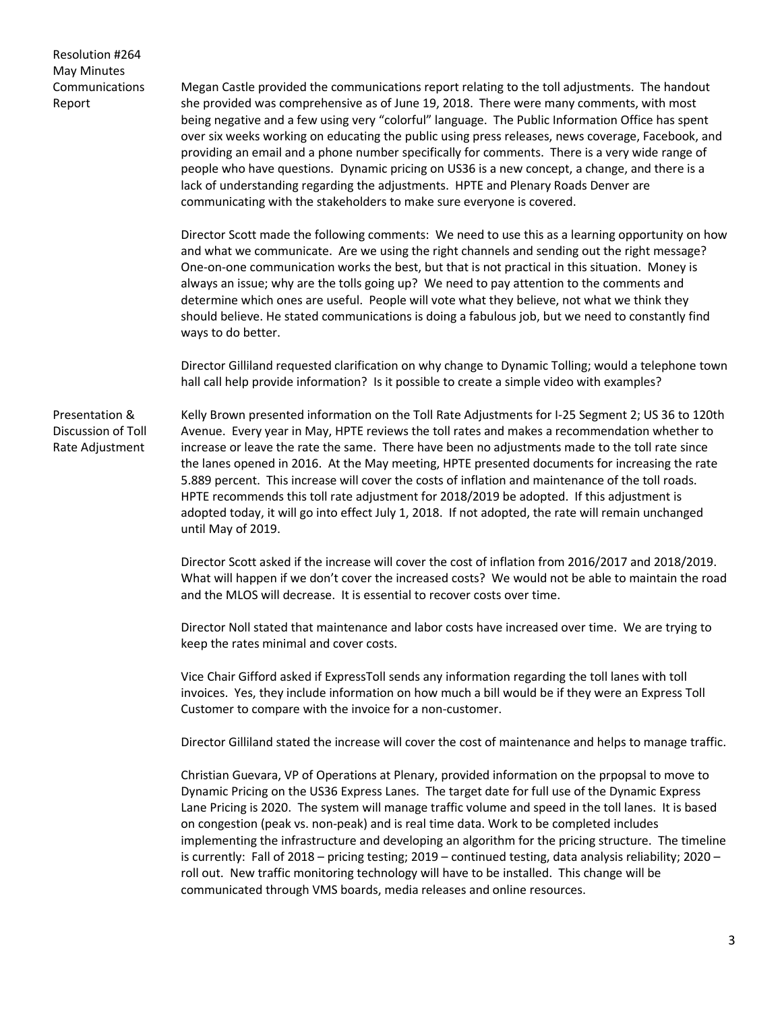Resolution #264 May Minutes Communications Report

Megan Castle provided the communications report relating to the toll adjustments. The handout she provided was comprehensive as of June 19, 2018. There were many comments, with most being negative and a few using very "colorful" language. The Public Information Office has spent over six weeks working on educating the public using press releases, news coverage, Facebook, and providing an email and a phone number specifically for comments. There is a very wide range of people who have questions. Dynamic pricing on US36 is a new concept, a change, and there is a lack of understanding regarding the adjustments. HPTE and Plenary Roads Denver are communicating with the stakeholders to make sure everyone is covered.

Director Scott made the following comments: We need to use this as a learning opportunity on how and what we communicate. Are we using the right channels and sending out the right message? One-on-one communication works the best, but that is not practical in this situation. Money is always an issue; why are the tolls going up? We need to pay attention to the comments and determine which ones are useful. People will vote what they believe, not what we think they should believe. He stated communications is doing a fabulous job, but we need to constantly find ways to do better.

Director Gilliland requested clarification on why change to Dynamic Tolling; would a telephone town hall call help provide information? Is it possible to create a simple video with examples?

Presentation & Discussion of Toll Rate Adjustment

Kelly Brown presented information on the Toll Rate Adjustments for I-25 Segment 2; US 36 to 120th Avenue. Every year in May, HPTE reviews the toll rates and makes a recommendation whether to increase or leave the rate the same. There have been no adjustments made to the toll rate since the lanes opened in 2016. At the May meeting, HPTE presented documents for increasing the rate 5.889 percent. This increase will cover the costs of inflation and maintenance of the toll roads. HPTE recommends this toll rate adjustment for 2018/2019 be adopted. If this adjustment is adopted today, it will go into effect July 1, 2018. If not adopted, the rate will remain unchanged until May of 2019.

Director Scott asked if the increase will cover the cost of inflation from 2016/2017 and 2018/2019. What will happen if we don't cover the increased costs? We would not be able to maintain the road and the MLOS will decrease. It is essential to recover costs over time.

Director Noll stated that maintenance and labor costs have increased over time. We are trying to keep the rates minimal and cover costs.

Vice Chair Gifford asked if ExpressToll sends any information regarding the toll lanes with toll invoices. Yes, they include information on how much a bill would be if they were an Express Toll Customer to compare with the invoice for a non-customer.

Director Gilliland stated the increase will cover the cost of maintenance and helps to manage traffic.

Christian Guevara, VP of Operations at Plenary, provided information on the prpopsal to move to Dynamic Pricing on the US36 Express Lanes. The target date for full use of the Dynamic Express Lane Pricing is 2020. The system will manage traffic volume and speed in the toll lanes. It is based on congestion (peak vs. non-peak) and is real time data. Work to be completed includes implementing the infrastructure and developing an algorithm for the pricing structure. The timeline is currently: Fall of 2018 – pricing testing; 2019 – continued testing, data analysis reliability; 2020 – roll out. New traffic monitoring technology will have to be installed. This change will be communicated through VMS boards, media releases and online resources.